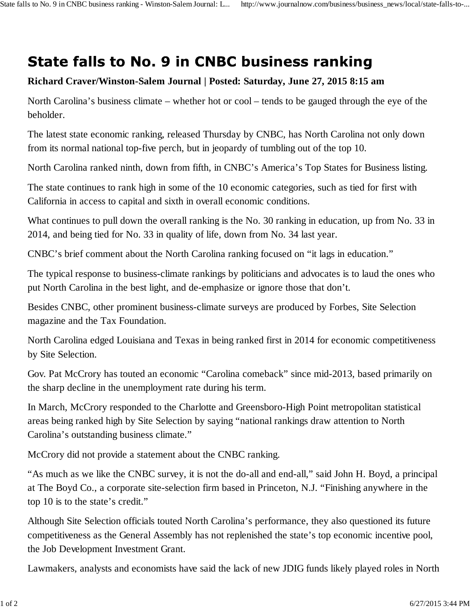## **State falls to No. 9 in CNBC business ranking**

## **Richard Craver/Winston-Salem Journal | Posted: Saturday, June 27, 2015 8:15 am**

North Carolina's business climate – whether hot or cool – tends to be gauged through the eye of the beholder.

The latest state economic ranking, released Thursday by CNBC, has North Carolina not only down from its normal national top-five perch, but in jeopardy of tumbling out of the top 10.

North Carolina ranked ninth, down from fifth, in CNBC's America's Top States for Business listing.

The state continues to rank high in some of the 10 economic categories, such as tied for first with California in access to capital and sixth in overall economic conditions.

What continues to pull down the overall ranking is the No. 30 ranking in education, up from No. 33 in 2014, and being tied for No. 33 in quality of life, down from No. 34 last year.

CNBC's brief comment about the North Carolina ranking focused on "it lags in education."

The typical response to business-climate rankings by politicians and advocates is to laud the ones who put North Carolina in the best light, and de-emphasize or ignore those that don't.

Besides CNBC, other prominent business-climate surveys are produced by Forbes, Site Selection magazine and the Tax Foundation.

North Carolina edged Louisiana and Texas in being ranked first in 2014 for economic competitiveness by Site Selection.

Gov. Pat McCrory has touted an economic "Carolina comeback" since mid-2013, based primarily on the sharp decline in the unemployment rate during his term.

In March, McCrory responded to the Charlotte and Greensboro-High Point metropolitan statistical areas being ranked high by Site Selection by saying "national rankings draw attention to North Carolina's outstanding business climate."

McCrory did not provide a statement about the CNBC ranking.

"As much as we like the CNBC survey, it is not the do-all and end-all," said John H. Boyd, a principal at The Boyd Co., a corporate site-selection firm based in Princeton, N.J. "Finishing anywhere in the top 10 is to the state's credit."

Although Site Selection officials touted North Carolina's performance, they also questioned its future competitiveness as the General Assembly has not replenished the state's top economic incentive pool, the Job Development Investment Grant.

Lawmakers, analysts and economists have said the lack of new JDIG funds likely played roles in North